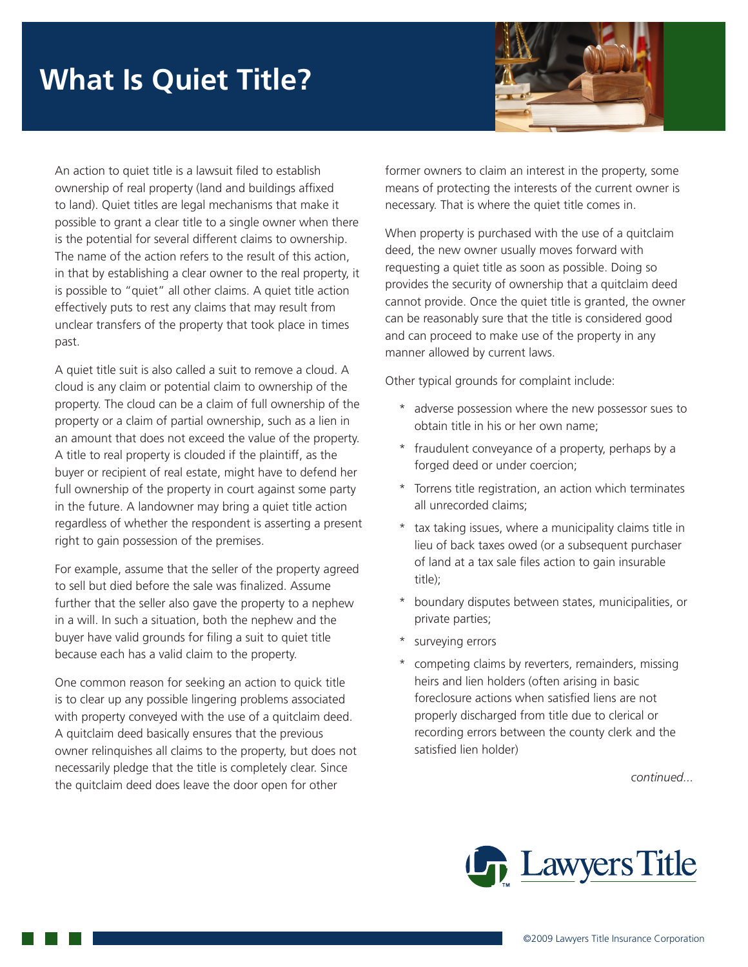## **What Is Quiet Title?**



An action to quiet title is a lawsuit filed to establish ownership of real property (land and buildings affixed to land). Quiet titles are legal mechanisms that make it possible to grant a clear title to a single owner when there is the potential for several different claims to ownership. The name of the action refers to the result of this action, in that by establishing a clear owner to the real property, it is possible to "quiet" all other claims. A quiet title action effectively puts to rest any claims that may result from unclear transfers of the property that took place in times past.

A quiet title suit is also called a suit to remove a cloud. A cloud is any claim or potential claim to ownership of the property. The cloud can be a claim of full ownership of the property or a claim of partial ownership, such as a lien in an amount that does not exceed the value of the property. A title to real property is clouded if the plaintiff, as the buyer or recipient of real estate, might have to defend her full ownership of the property in court against some party in the future. A landowner may bring a quiet title action regardless of whether the respondent is asserting a present right to gain possession of the premises.

For example, assume that the seller of the property agreed to sell but died before the sale was finalized. Assume further that the seller also gave the property to a nephew in a will. In such a situation, both the nephew and the buyer have valid grounds for filing a suit to quiet title because each has a valid claim to the property.

One common reason for seeking an action to quick title is to clear up any possible lingering problems associated with property conveyed with the use of a quitclaim deed. A quitclaim deed basically ensures that the previous owner relinquishes all claims to the property, but does not necessarily pledge that the title is completely clear. Since the quitclaim deed does leave the door open for other

former owners to claim an interest in the property, some means of protecting the interests of the current owner is necessary. That is where the quiet title comes in.

When property is purchased with the use of a quitclaim deed, the new owner usually moves forward with requesting a quiet title as soon as possible. Doing so provides the security of ownership that a quitclaim deed cannot provide. Once the quiet title is granted, the owner can be reasonably sure that the title is considered good and can proceed to make use of the property in any manner allowed by current laws.

Other typical grounds for complaint include:

- \* adverse possession where the new possessor sues to obtain title in his or her own name;
- \* fraudulent conveyance of a property, perhaps by a forged deed or under coercion;
- \* Torrens title registration, an action which terminates all unrecorded claims;
- \* tax taking issues, where a municipality claims title in lieu of back taxes owed (or a subsequent purchaser of land at a tax sale files action to gain insurable title);
- \* boundary disputes between states, municipalities, or private parties;
- surveying errors
- competing claims by reverters, remainders, missing heirs and lien holders (often arising in basic foreclosure actions when satisfied liens are not properly discharged from title due to clerical or recording errors between the county clerk and the satisfied lien holder)

*continued...*